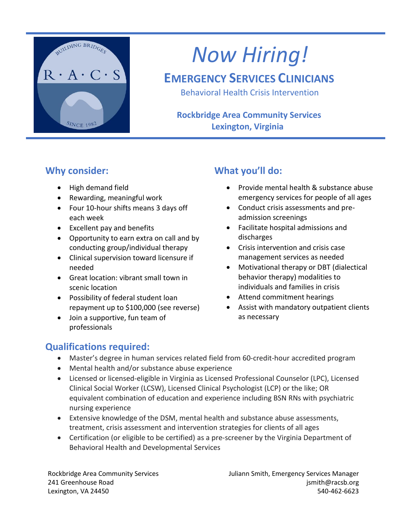

# *Now Hiring!*

## **EMERGENCY SERVICES CLINICIANS**

Behavioral Health Crisis Intervention

### **Rockbridge Area Community Services Lexington, Virginia**

### **Why consider:**

- High demand field
- Rewarding, meaningful work
- Four 10-hour shifts means 3 days off each week
- Excellent pay and benefits
- Opportunity to earn extra on call and by conducting group/individual therapy
- Clinical supervision toward licensure if needed
- Great location: vibrant small town in scenic location
- Possibility of federal student loan repayment up to \$100,000 (see reverse)
- Join a supportive, fun team of professionals

## **What you'll do:**

- Provide mental health & substance abuse emergency services for people of all ages
- Conduct crisis assessments and preadmission screenings
- Facilitate hospital admissions and discharges
- Crisis intervention and crisis case management services as needed
- Motivational therapy or DBT (dialectical behavior therapy) modalities to individuals and families in crisis
- Attend commitment hearings
- Assist with mandatory outpatient clients as necessary

## **Qualifications required:**

- Master's degree in human services related field from 60-credit-hour accredited program
- Mental health and/or substance abuse experience
- Licensed or licensed-eligible in Virginia as Licensed Professional Counselor (LPC), Licensed Clinical Social Worker (LCSW), Licensed Clinical Psychologist (LCP) or the like; OR equivalent combination of education and experience including BSN RNs with psychiatric nursing experience
- Extensive knowledge of the DSM, mental health and substance abuse assessments, treatment, crisis assessment and intervention strategies for clients of all ages
- Certification (or eligible to be certified) as a pre-screener by the Virginia Department of Behavioral Health and Developmental Services

Rockbridge Area Community Services The Suliann Smith, Emergency Services Manager 241 Greenhouse Road is a state of the control of the control of the control of the control of the control of the control of the control of the control of the control of the control of the control of the control of the cont Lexington, VA 24450 540-462-6623